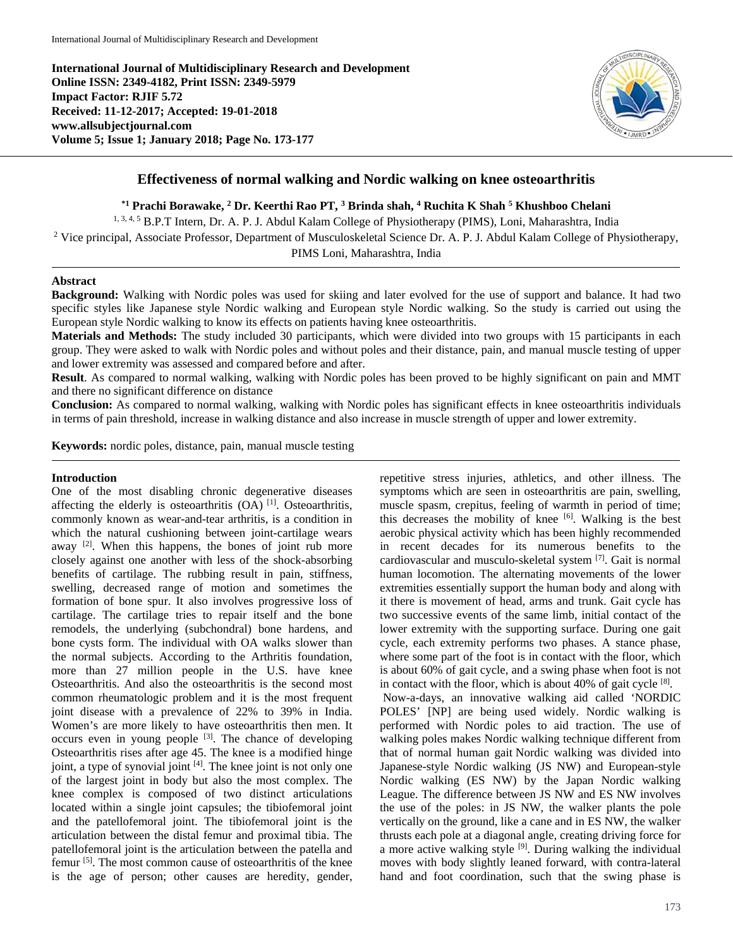**International Journal of Multidisciplinary Research and Development Online ISSN: 2349-4182, Print ISSN: 2349-5979 Impact Factor: RJIF 5.72 Received: 11-12-2017; Accepted: 19-01-2018 www.allsubjectjournal.com Volume 5; Issue 1; January 2018; Page No. 173-177**



## **Effectiveness of normal walking and Nordic walking on knee osteoarthritis**

**\*1 Prachi Borawake, 2 Dr. Keerthi Rao PT, 3 Brinda shah, 4 Ruchita K Shah 5 Khushboo Chelani**

<sup>1, 3, 4, 5</sup> B.P.T Intern, Dr. A. P. J. Abdul Kalam College of Physiotherapy (PIMS), Loni, Maharashtra, India

<sup>2</sup> Vice principal, Associate Professor, Department of Musculoskeletal Science Dr. A. P. J. Abdul Kalam College of Physiotherapy, PIMS Loni, Maharashtra, India

#### **Abstract**

**Background:** Walking with Nordic poles was used for skiing and later evolved for the use of support and balance. It had two specific styles like Japanese style Nordic walking and European style Nordic walking. So the study is carried out using the European style Nordic walking to know its effects on patients having knee osteoarthritis.

**Materials and Methods:** The study included 30 participants, which were divided into two groups with 15 participants in each group. They were asked to walk with Nordic poles and without poles and their distance, pain, and manual muscle testing of upper and lower extremity was assessed and compared before and after.

**Result**. As compared to normal walking, walking with Nordic poles has been proved to be highly significant on pain and MMT and there no significant difference on distance

**Conclusion:** As compared to normal walking, walking with Nordic poles has significant effects in knee osteoarthritis individuals in terms of pain threshold, increase in walking distance and also increase in muscle strength of upper and lower extremity.

**Keywords:** nordic poles, distance, pain, manual muscle testing

#### **Introduction**

One of the most disabling chronic degenerative diseases affecting the elderly is osteoarthritis  $(OA)$ <sup>[1]</sup>. Osteoarthritis, commonly known as wear-and-tear arthritis, is a condition in which the natural cushioning between joint-cartilage wears away  $[2]$ . When this happens, the bones of joint rub more closely against one another with less of the shock-absorbing benefits of cartilage. The rubbing result in pain, stiffness, swelling, decreased range of motion and sometimes the formation of bone spur. It also involves progressive loss of cartilage. The cartilage tries to repair itself and the bone remodels, the underlying (subchondral) bone hardens, and bone cysts form. The individual with OA walks slower than the normal subjects. According to the Arthritis foundation, more than 27 million people in the U.S. have knee Osteoarthritis. And also the osteoarthritis is the second most common rheumatologic problem and it is the most frequent joint disease with a prevalence of 22% to 39% in India. Women's are more likely to have osteoarthritis then men. It occurs even in young people  $[3]$ . The chance of developing Osteoarthritis rises after age 45. The knee is a modified hinge joint, a type of synovial joint [4]. The knee joint is not only one of the largest joint in body but also the most complex. The knee complex is composed of two distinct articulations located within a single joint capsules; the tibiofemoral joint and the patellofemoral joint. The tibiofemoral joint is the articulation between the distal femur and proximal tibia. The patellofemoral joint is the articulation between the patella and femur<sup>[5]</sup>. The most common cause of osteoarthritis of the knee is the age of person; other causes are heredity, gender,

repetitive stress injuries, athletics, and other illness. The symptoms which are seen in osteoarthritis are pain, swelling, muscle spasm, crepitus, feeling of warmth in period of time; this decreases the mobility of knee [6]. Walking is the best aerobic physical activity which has been highly recommended in recent decades for its numerous benefits to the cardiovascular and musculo-skeletal system [7] . Gait is normal human locomotion. The alternating movements of the lower extremities essentially support the human body and along with it there is movement of head, arms and trunk. Gait cycle has two successive events of the same limb, initial contact of the lower extremity with the supporting surface. During one gait cycle, each extremity performs two phases. A stance phase, where some part of the foot is in contact with the floor, which is about 60% of gait cycle, and a swing phase when foot is not in contact with the floor, which is about 40% of gait cycle [8]. Now-a-days, an innovative walking aid called 'NORDIC POLES' [NP] are being used widely. Nordic walking is performed with Nordic poles to aid traction. The use of walking poles makes Nordic walking technique different from that of normal human gait Nordic walking was divided into Japanese-style Nordic walking (JS NW) and European-style Nordic walking (ES NW) by the Japan Nordic walking League. The difference between JS NW and ES NW involves the use of the poles: in JS NW, the walker plants the pole vertically on the ground, like a cane and in ES NW, the walker thrusts each pole at a diagonal angle, creating driving force for a more active walking style <sup>[9]</sup>. During walking the individual moves with body slightly leaned forward, with contra-lateral hand and foot coordination, such that the swing phase is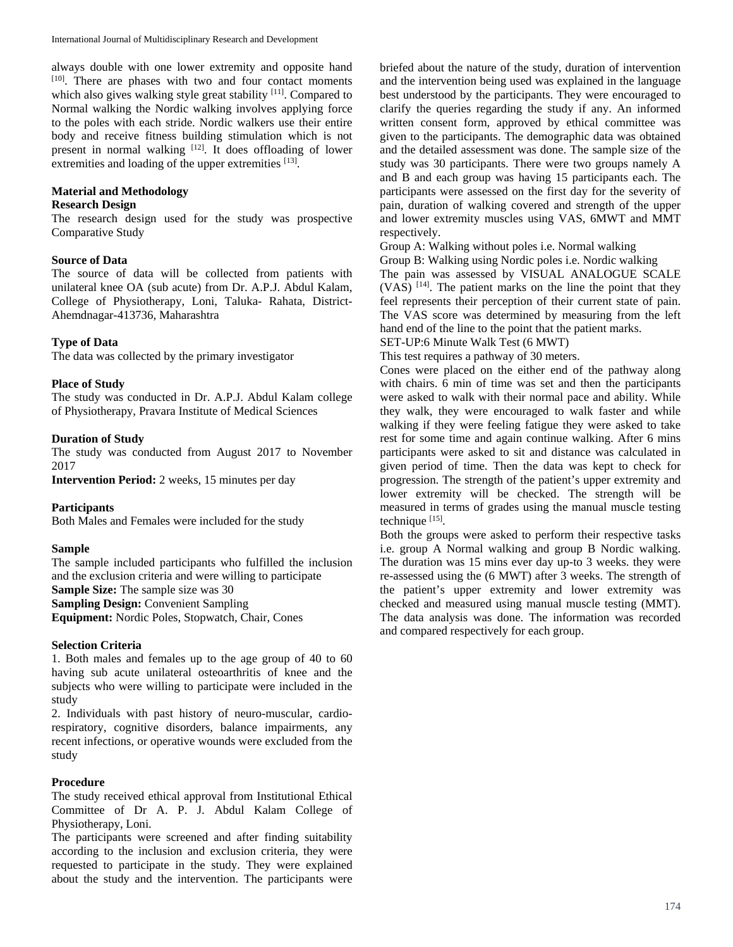always double with one lower extremity and opposite hand [10]. There are phases with two and four contact moments which also gives walking style great stability [11]. Compared to Normal walking the Nordic walking involves applying force to the poles with each stride. Nordic walkers use their entire body and receive fitness building stimulation which is not present in normal walking [12]. It does offloading of lower extremities and loading of the upper extremities [13].

# **Material and Methodology**

## **Research Design**

The research design used for the study was prospective Comparative Study

## **Source of Data**

The source of data will be collected from patients with unilateral knee OA (sub acute) from Dr. A.P.J. Abdul Kalam, College of Physiotherapy, Loni, Taluka- Rahata, District-Ahemdnagar-413736, Maharashtra

## **Type of Data**

The data was collected by the primary investigator

## **Place of Study**

The study was conducted in Dr. A.P.J. Abdul Kalam college of Physiotherapy, Pravara Institute of Medical Sciences

## **Duration of Study**

The study was conducted from August 2017 to November 2017

**Intervention Period:** 2 weeks, 15 minutes per day

## **Participants**

Both Males and Females were included for the study

## **Sample**

The sample included participants who fulfilled the inclusion and the exclusion criteria and were willing to participate Sample Size: The sample size was 30 **Sampling Design:** Convenient Sampling **Equipment:** Nordic Poles, Stopwatch, Chair, Cones

#### **Selection Criteria**

1. Both males and females up to the age group of 40 to 60 having sub acute unilateral osteoarthritis of knee and the subjects who were willing to participate were included in the study

2. Individuals with past history of neuro-muscular, cardiorespiratory, cognitive disorders, balance impairments, any recent infections, or operative wounds were excluded from the study

## **Procedure**

The study received ethical approval from Institutional Ethical Committee of Dr A. P. J. Abdul Kalam College of Physiotherapy, Loni.

The participants were screened and after finding suitability according to the inclusion and exclusion criteria, they were requested to participate in the study. They were explained about the study and the intervention. The participants were

briefed about the nature of the study, duration of intervention and the intervention being used was explained in the language best understood by the participants. They were encouraged to clarify the queries regarding the study if any. An informed written consent form, approved by ethical committee was given to the participants. The demographic data was obtained and the detailed assessment was done. The sample size of the study was 30 participants. There were two groups namely A and B and each group was having 15 participants each. The participants were assessed on the first day for the severity of pain, duration of walking covered and strength of the upper and lower extremity muscles using VAS, 6MWT and MMT respectively.

Group A: Walking without poles i.e. Normal walking

Group B: Walking using Nordic poles i.e. Nordic walking

The pain was assessed by VISUAL ANALOGUE SCALE  $(VAS)$  [14]. The patient marks on the line the point that they feel represents their perception of their current state of pain. The VAS score was determined by measuring from the left hand end of the line to the point that the patient marks.

SET-UP:6 Minute Walk Test (6 MWT)

This test requires a pathway of 30 meters.

Cones were placed on the either end of the pathway along with chairs. 6 min of time was set and then the participants were asked to walk with their normal pace and ability. While they walk, they were encouraged to walk faster and while walking if they were feeling fatigue they were asked to take rest for some time and again continue walking. After 6 mins participants were asked to sit and distance was calculated in given period of time. Then the data was kept to check for progression. The strength of the patient's upper extremity and lower extremity will be checked. The strength will be measured in terms of grades using the manual muscle testing technique [15].

Both the groups were asked to perform their respective tasks i.e. group A Normal walking and group B Nordic walking. The duration was 15 mins ever day up-to 3 weeks. they were re-assessed using the (6 MWT) after 3 weeks. The strength of the patient's upper extremity and lower extremity was checked and measured using manual muscle testing (MMT). The data analysis was done. The information was recorded and compared respectively for each group.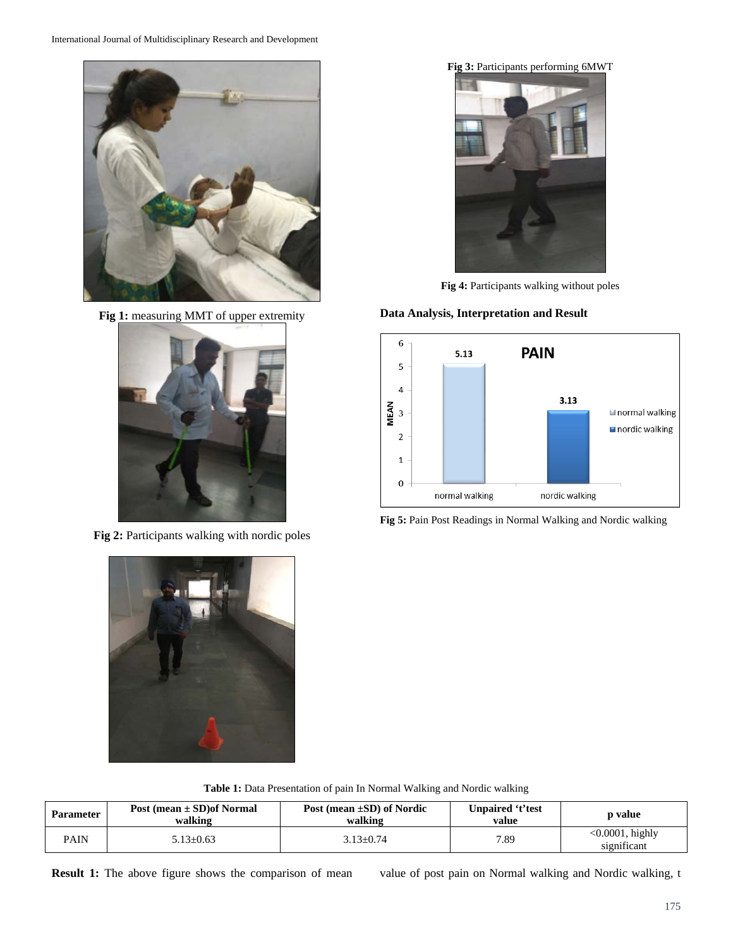

Fig 1: measuring MMT of upper extremity



**Fig 2:** Participants walking with nordic poles



**Fig 3:** Participants performing 6MWT

**Fig 4:** Participants walking without poles

## **Data Analysis, Interpretation and Result**



**Fig 5:** Pain Post Readings in Normal Walking and Nordic walking



**Table 1:** Data Presentation of pain In Normal Walking and Nordic walking

| <b>Parameter</b> | Post (mean $\pm$ SD) of Normal<br>walking | Post (mean $\pm SD$ ) of Nordic<br>walking | Unpaired 't'test<br>value | p value                           |  |
|------------------|-------------------------------------------|--------------------------------------------|---------------------------|-----------------------------------|--|
| <b>PAIN</b>      | $5.13 \pm 0.63$                           | $3.13 + 0.74$                              | 7.89                      | $<0.0001$ , highly<br>significant |  |

**Result 1:** The above figure shows the comparison of mean value of post pain on Normal walking and Nordic walking, t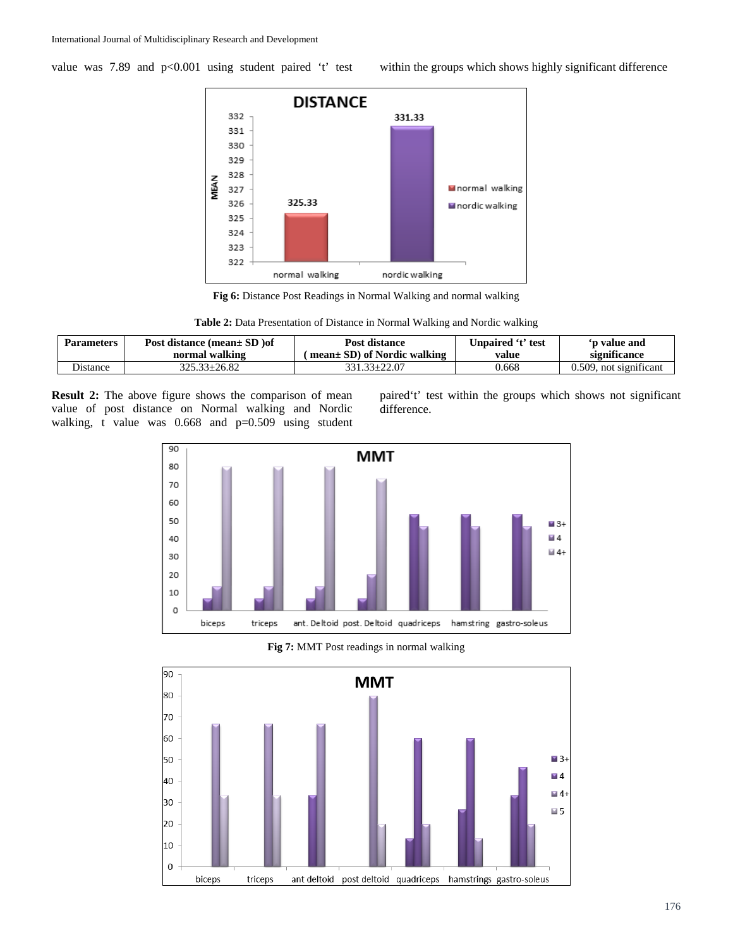value was 7.89 and p<0.001 using student paired 't' test within the groups which shows highly significant difference



**Fig 6:** Distance Post Readings in Normal Walking and normal walking

| Table 2: Data Presentation of Distance in Normal Walking and Nordic walking |  |  |  |
|-----------------------------------------------------------------------------|--|--|--|
|                                                                             |  |  |  |

| <b>Parameters</b> | Post distance (mean $\pm$ SD ) of | Post distance               | Unpaired 't' test | 'p value and           |  |
|-------------------|-----------------------------------|-----------------------------|-------------------|------------------------|--|
|                   | normal walking                    | mean± SD) of Nordic walking | value             | significance           |  |
| <b>Distance</b>   | $325.33 \pm 26.82$                | 331.33+22.07                | 0.668             | 0.509, not significant |  |

**Result 2:** The above figure shows the comparison of mean value of post distance on Normal walking and Nordic walking, t value was 0.668 and p=0.509 using student paired't' test within the groups which shows not significant difference.



**Fig 7:** MMT Post readings in normal walking

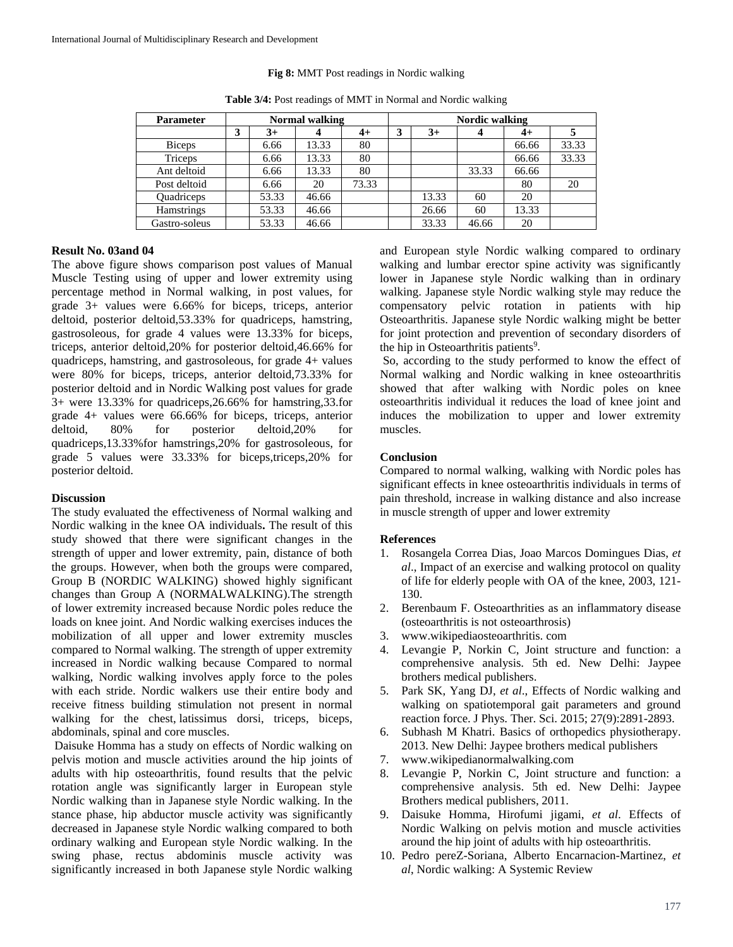#### **Fig 8:** MMT Post readings in Nordic walking

| <b>Parameter</b>  | <b>Normal walking</b> |       |       |       |   | Nordic walking |       |       |       |
|-------------------|-----------------------|-------|-------|-------|---|----------------|-------|-------|-------|
|                   | 3                     | $3+$  |       | $4+$  | 3 | $3+$           | 4     | $4+$  | 5     |
| <b>Biceps</b>     |                       | 6.66  | 13.33 | 80    |   |                |       | 66.66 | 33.33 |
| Triceps           |                       | 6.66  | 13.33 | 80    |   |                |       | 66.66 | 33.33 |
| Ant deltoid       |                       | 6.66  | 13.33 | 80    |   |                | 33.33 | 66.66 |       |
| Post deltoid      |                       | 6.66  | 20    | 73.33 |   |                |       | 80    | 20    |
| <b>Ouadriceps</b> |                       | 53.33 | 46.66 |       |   | 13.33          | 60    | 20    |       |
| <b>Hamstrings</b> |                       | 53.33 | 46.66 |       |   | 26.66          | 60    | 13.33 |       |
| Gastro-soleus     |                       | 53.33 | 46.66 |       |   | 33.33          | 46.66 | 20    |       |

**Table 3/4:** Post readings of MMT in Normal and Nordic walking

## **Result No. 03and 04**

The above figure shows comparison post values of Manual Muscle Testing using of upper and lower extremity using percentage method in Normal walking, in post values, for grade 3+ values were 6.66% for biceps, triceps, anterior deltoid, posterior deltoid,53.33% for quadriceps, hamstring, gastrosoleous, for grade 4 values were 13.33% for biceps, triceps, anterior deltoid,20% for posterior deltoid,46.66% for quadriceps, hamstring, and gastrosoleous, for grade 4+ values were 80% for biceps, triceps, anterior deltoid,73.33% for posterior deltoid and in Nordic Walking post values for grade 3+ were 13.33% for quadriceps,26.66% for hamstring,33.for grade 4+ values were 66.66% for biceps, triceps, anterior deltoid, 80% for posterior deltoid,20% for quadriceps,13.33%for hamstrings,20% for gastrosoleous, for grade 5 values were 33.33% for biceps,triceps,20% for posterior deltoid.

#### **Discussion**

The study evaluated the effectiveness of Normal walking and Nordic walking in the knee OA individuals**.** The result of this study showed that there were significant changes in the strength of upper and lower extremity, pain, distance of both the groups. However, when both the groups were compared, Group B (NORDIC WALKING) showed highly significant changes than Group A (NORMALWALKING).The strength of lower extremity increased because Nordic poles reduce the loads on knee joint. And Nordic walking exercises induces the mobilization of all upper and lower extremity muscles compared to Normal walking. The strength of upper extremity increased in Nordic walking because Compared to normal walking, Nordic walking involves apply force to the poles with each stride. Nordic walkers use their entire body and receive fitness building stimulation not present in normal walking for the chest, latissimus dorsi, triceps, biceps, abdominals, spinal and core muscles.

Daisuke Homma has a study on effects of Nordic walking on pelvis motion and muscle activities around the hip joints of adults with hip osteoarthritis, found results that the pelvic rotation angle was significantly larger in European style Nordic walking than in Japanese style Nordic walking. In the stance phase, hip abductor muscle activity was significantly decreased in Japanese style Nordic walking compared to both ordinary walking and European style Nordic walking. In the swing phase, rectus abdominis muscle activity was significantly increased in both Japanese style Nordic walking and European style Nordic walking compared to ordinary walking and lumbar erector spine activity was significantly lower in Japanese style Nordic walking than in ordinary walking. Japanese style Nordic walking style may reduce the compensatory pelvic rotation in patients with hip Osteoarthritis. Japanese style Nordic walking might be better for joint protection and prevention of secondary disorders of the hip in Osteoarthritis patients<sup>9</sup>.

So, according to the study performed to know the effect of Normal walking and Nordic walking in knee osteoarthritis showed that after walking with Nordic poles on knee osteoarthritis individual it reduces the load of knee joint and induces the mobilization to upper and lower extremity muscles.

## **Conclusion**

Compared to normal walking, walking with Nordic poles has significant effects in knee osteoarthritis individuals in terms of pain threshold, increase in walking distance and also increase in muscle strength of upper and lower extremity

#### **References**

- 1. Rosangela Correa Dias, Joao Marcos Domingues Dias, *et al*., Impact of an exercise and walking protocol on quality of life for elderly people with OA of the knee, 2003, 121- 130.
- 2. Berenbaum F. Osteoarthrities as an inflammatory disease (osteoarthritis is not osteoarthrosis)
- 3. www.wikipediaosteoarthritis. com
- 4. Levangie P, Norkin C, Joint structure and function: a comprehensive analysis. 5th ed. New Delhi: Jaypee brothers medical publishers.
- 5. Park SK, Yang DJ, *et al*., Effects of Nordic walking and walking on spatiotemporal gait parameters and ground reaction force. J Phys. Ther. Sci. 2015; 27(9):2891-2893.
- 6. Subhash M Khatri. Basics of orthopedics physiotherapy. 2013. New Delhi: Jaypee brothers medical publishers
- 7. www.wikipedianormalwalking.com
- 8. Levangie P, Norkin C, Joint structure and function: a comprehensive analysis. 5th ed. New Delhi: Jaypee Brothers medical publishers, 2011.
- 9. Daisuke Homma, Hirofumi jigami, *et al*. Effects of Nordic Walking on pelvis motion and muscle activities around the hip joint of adults with hip osteoarthritis.
- 10. Pedro pereZ-Soriana, Alberto Encarnacion-Martinez, *et al*, Nordic walking: A Systemic Review